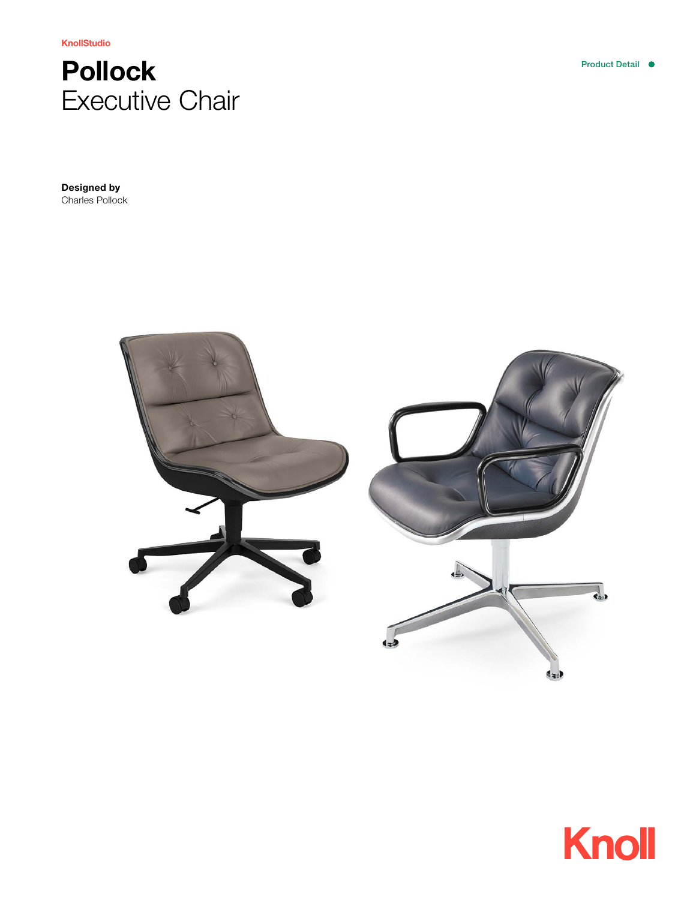KnollStudio

# Pollock Executive Chair

Designed by Charles Pollock